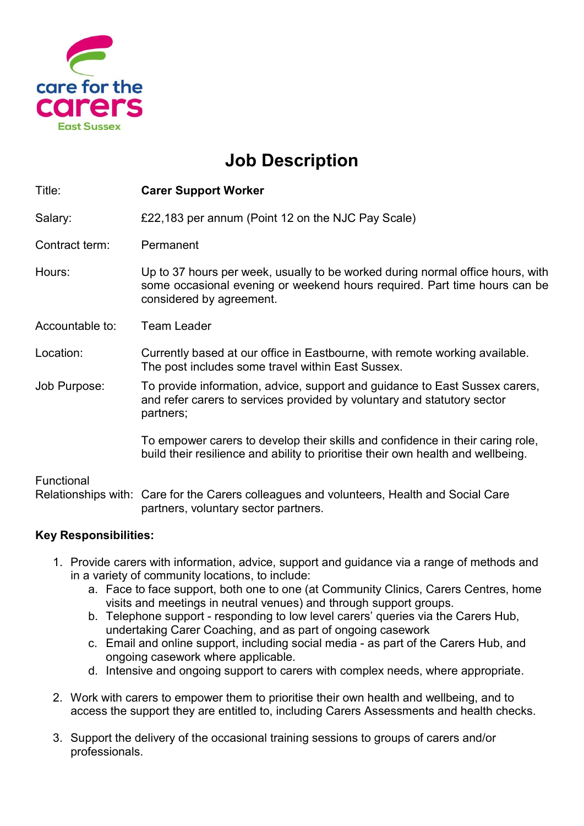

## Job Description

| Title:          | <b>Carer Support Worker</b>                                                                                                                                                             |
|-----------------|-----------------------------------------------------------------------------------------------------------------------------------------------------------------------------------------|
| Salary:         | £22,183 per annum (Point 12 on the NJC Pay Scale)                                                                                                                                       |
| Contract term:  | Permanent                                                                                                                                                                               |
| Hours:          | Up to 37 hours per week, usually to be worked during normal office hours, with<br>some occasional evening or weekend hours required. Part time hours can be<br>considered by agreement. |
| Accountable to: | <b>Team Leader</b>                                                                                                                                                                      |
| Location:       | Currently based at our office in Eastbourne, with remote working available.<br>The post includes some travel within East Sussex.                                                        |
| Job Purpose:    | To provide information, advice, support and guidance to East Sussex carers,<br>and refer carers to services provided by voluntary and statutory sector<br>partners;                     |
|                 | To empower carers to develop their skills and confidence in their caring role,<br>build their resilience and ability to prioritise their own health and wellbeing.                      |
| Functional      | Relationships with: Care for the Carers colleagues and volunteers, Health and Social Care<br>partners, voluntary sector partners.                                                       |

## Key Responsibilities:

- 1. Provide carers with information, advice, support and guidance via a range of methods and in a variety of community locations, to include:
	- a. Face to face support, both one to one (at Community Clinics, Carers Centres, home visits and meetings in neutral venues) and through support groups.
	- b. Telephone support responding to low level carers' queries via the Carers Hub, undertaking Carer Coaching, and as part of ongoing casework
	- c. Email and online support, including social media as part of the Carers Hub, and ongoing casework where applicable.
	- d. Intensive and ongoing support to carers with complex needs, where appropriate.
- 2. Work with carers to empower them to prioritise their own health and wellbeing, and to access the support they are entitled to, including Carers Assessments and health checks.
- 3. Support the delivery of the occasional training sessions to groups of carers and/or professionals.